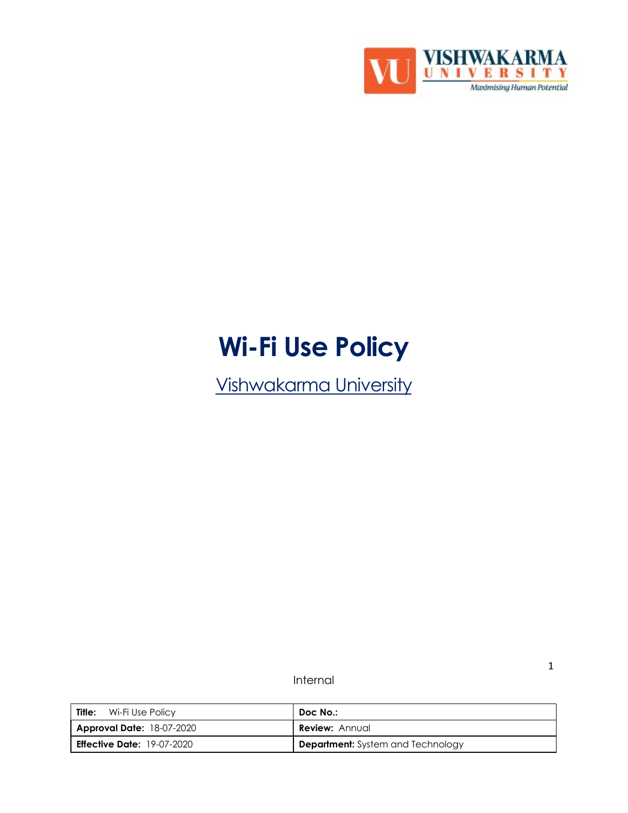

# Wi-Fi Use Policy

Vishwakarma University

Internal

| <b>Title:</b> Wi-Fi Use Policy    | Doc No.:                                 |
|-----------------------------------|------------------------------------------|
| <b>Approval Date: 18-07-2020</b>  | <b>Review:</b> Annual                    |
| <b>Effective Date:</b> 19-07-2020 | <b>Department:</b> System and Technology |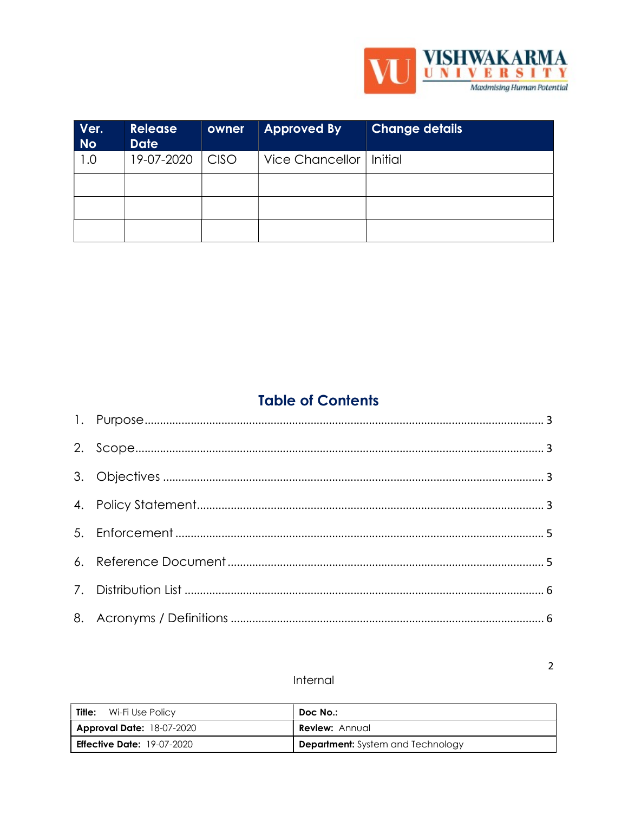

| Ver.<br><b>No</b> | <b>Release</b><br><b>Date</b> | owner       | <b>Approved By</b>        | <b>Change details</b> |
|-------------------|-------------------------------|-------------|---------------------------|-----------------------|
| 1.0               | 19-07-2020                    | <b>CISO</b> | Vice Chancellor   Initial |                       |
|                   |                               |             |                           |                       |
|                   |                               |             |                           |                       |
|                   |                               |             |                           |                       |

## **Table of Contents**

## Internal

| <b>Title:</b> Wi-Fi Use Policy    | Doc No.:                                 |
|-----------------------------------|------------------------------------------|
| <b>Approval Date: 18-07-2020</b>  | <b>Review:</b> Annual                    |
| <b>Effective Date: 19-07-2020</b> | <b>Department:</b> System and Technology |

 $\overline{2}$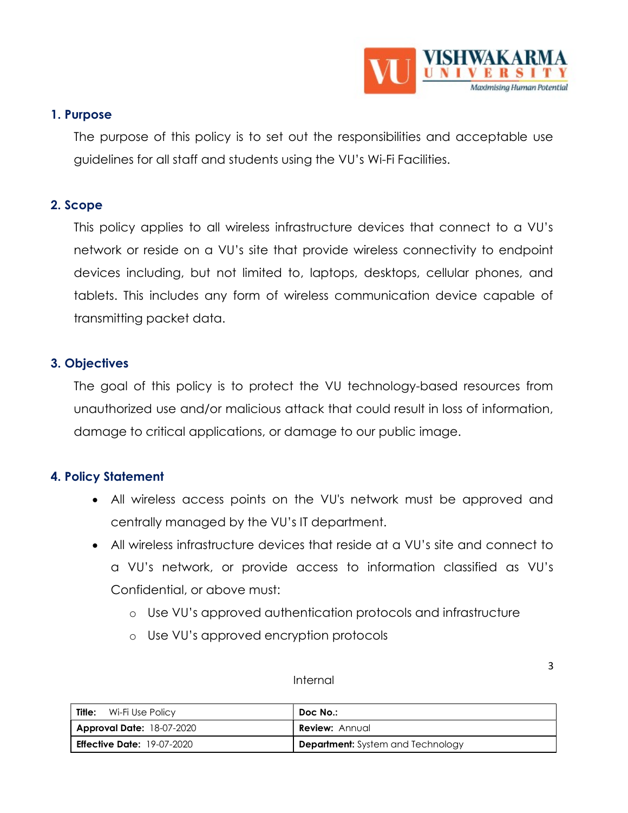

## 1. Purpose

The purpose of this policy is to set out the responsibilities and acceptable use guidelines for all staff and students using the VU's Wi-Fi Facilities.

## 2. Scope

This policy applies to all wireless infrastructure devices that connect to a VU's network or reside on a VU's site that provide wireless connectivity to endpoint devices including, but not limited to, laptops, desktops, cellular phones, and tablets. This includes any form of wireless communication device capable of transmitting packet data.

## 3. Objectives

The goal of this policy is to protect the VU technology-based resources from unauthorized use and/or malicious attack that could result in loss of information, damage to critical applications, or damage to our public image.

## 4. Policy Statement

- All wireless access points on the VU's network must be approved and centrally managed by the VU's IT department.
- All wireless infrastructure devices that reside at a VU's site and connect to a VU's network, or provide access to information classified as VU's Confidential, or above must:
	- o Use VU's approved authentication protocols and infrastructure
	- o Use VU's approved encryption protocols

| Internal |
|----------|
|----------|

| . .<br>i<br>٠<br>I<br>۰.<br>M. |  |
|--------------------------------|--|
|                                |  |

| Title:<br>Wi-Fi Use Policy        | Doc No.:                                 |
|-----------------------------------|------------------------------------------|
| <b>Approval Date: 18-07-2020</b>  | <b>Review: Annual</b>                    |
| <b>Effective Date:</b> 19-07-2020 | <b>Department:</b> System and Technology |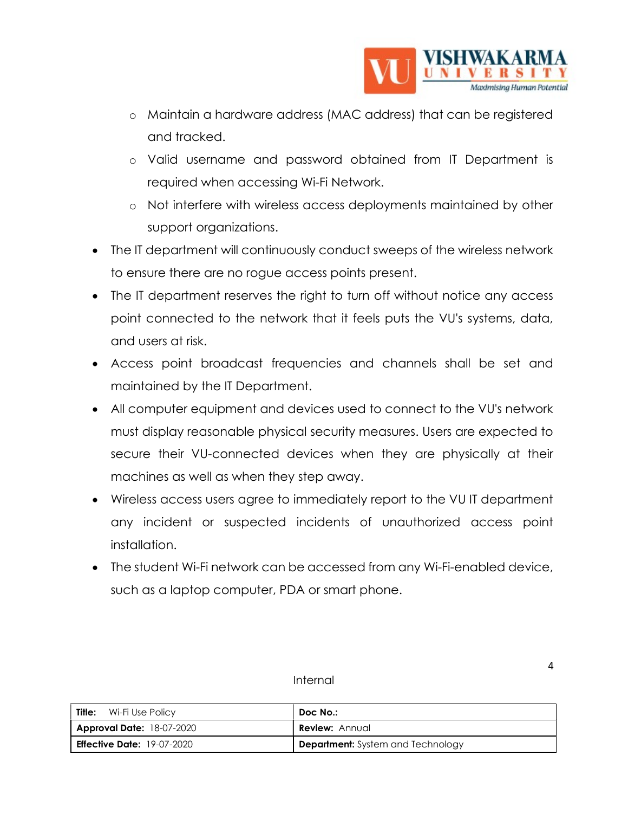

- o Maintain a hardware address (MAC address) that can be registered and tracked.
- o Valid username and password obtained from IT Department is required when accessing Wi-Fi Network.
- o Not interfere with wireless access deployments maintained by other support organizations.
- The IT department will continuously conduct sweeps of the wireless network to ensure there are no rogue access points present.
- The IT department reserves the right to turn off without notice any access point connected to the network that it feels puts the VU's systems, data, and users at risk.
- Access point broadcast frequencies and channels shall be set and maintained by the IT Department.
- All computer equipment and devices used to connect to the VU's network must display reasonable physical security measures. Users are expected to secure their VU-connected devices when they are physically at their machines as well as when they step away.
- Wireless access users agree to immediately report to the VU IT department any incident or suspected incidents of unauthorized access point installation.
- The student Wi-Fi network can be accessed from any Wi-Fi-enabled device, such as a laptop computer, PDA or smart phone.

#### Internal

| Title:<br>Wi-Fi Use Policy        | Doc No.:                                 |
|-----------------------------------|------------------------------------------|
| <b>Approval Date: 18-07-2020</b>  | <b>Review:</b> Annual                    |
| <b>Effective Date:</b> 19-07-2020 | <b>Department:</b> System and Technology |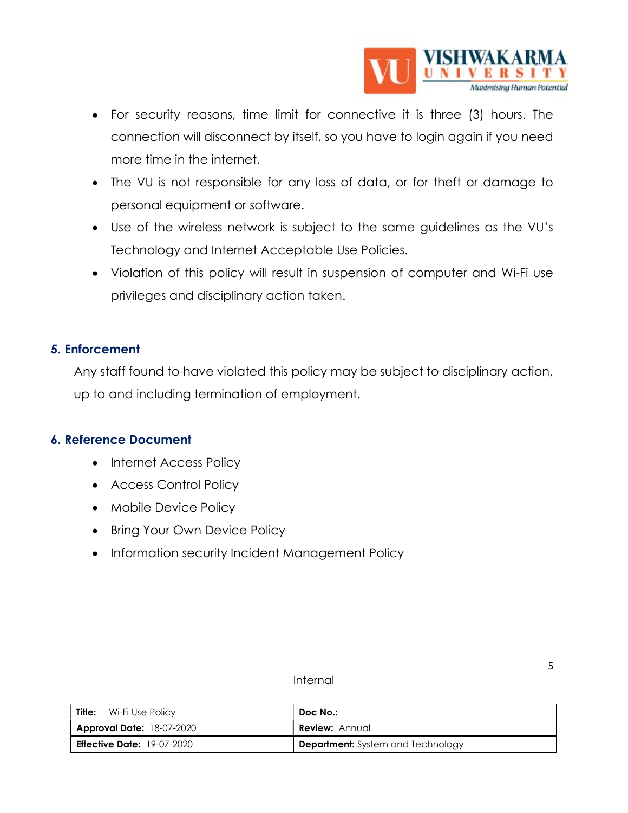

- For security reasons, time limit for connective it is three (3) hours. The connection will disconnect by itself, so you have to login again if you need more time in the internet.
- The VU is not responsible for any loss of data, or for theft or damage to personal equipment or software.
- Use of the wireless network is subject to the same guidelines as the VU's Technology and Internet Acceptable Use Policies.
- Violation of this policy will result in suspension of computer and Wi-Fi use privileges and disciplinary action taken.

## 5. Enforcement

Any staff found to have violated this policy may be subject to disciplinary action, up to and including termination of employment.

## 6. Reference Document

- Internet Access Policy
- Access Control Policy
- Mobile Device Policy
- Bring Your Own Device Policy
- Information security Incident Management Policy

#### Internal

| Title:<br>Wi-Fi Use Policy        | Doc No.:                                 |
|-----------------------------------|------------------------------------------|
| <b>Approval Date: 18-07-2020</b>  | <b>Review: Annual</b>                    |
| <b>Effective Date: 19-07-2020</b> | <b>Department:</b> System and Technology |